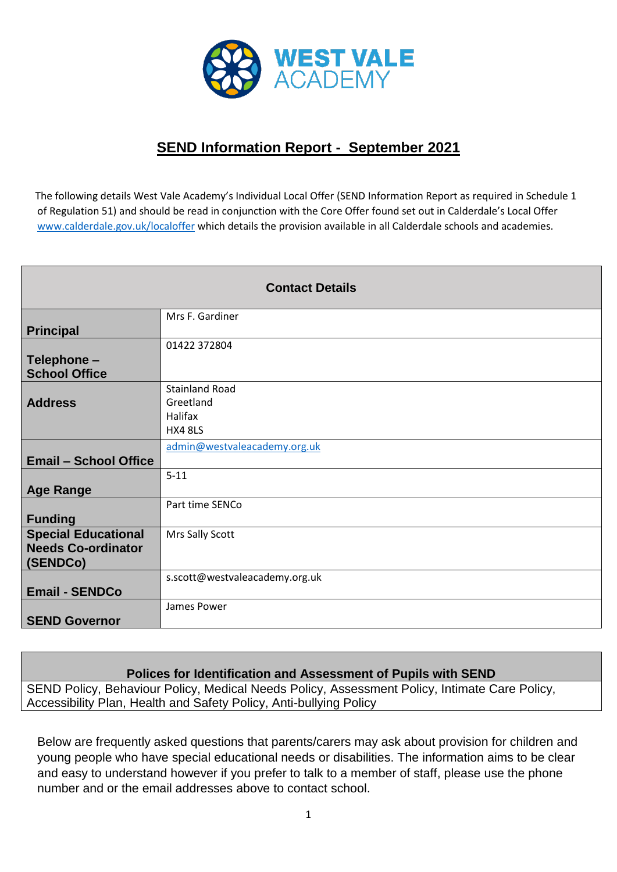

## **SEND Information Report - September 2021**

 The following details West Vale Academy's Individual Local Offer (SEND Information Report as required in Schedule 1 of Regulation 51) and should be read in conjunction with the Core Offer found set out in Calderdale's Local Offer [www.calderdale.gov.uk/localoffer](http://www.calderdale.gov.uk/localoffer) which details the provision available in all Calderdale schools and academies.

| <b>Contact Details</b>                                              |                                                                 |
|---------------------------------------------------------------------|-----------------------------------------------------------------|
| <b>Principal</b>                                                    | Mrs F. Gardiner                                                 |
| Telephone -<br><b>School Office</b>                                 | 01422 372804                                                    |
| <b>Address</b>                                                      | <b>Stainland Road</b><br>Greetland<br>Halifax<br><b>HX4 8LS</b> |
| <b>Email - School Office</b>                                        | admin@westvaleacademy.org.uk                                    |
| <b>Age Range</b>                                                    | $5 - 11$                                                        |
| <b>Funding</b>                                                      | Part time SENCo                                                 |
| <b>Special Educational</b><br><b>Needs Co-ordinator</b><br>(SENDCo) | Mrs Sally Scott                                                 |
| <b>Email - SENDCo</b>                                               | s.scott@westvaleacademy.org.uk                                  |
| <b>SEND Governor</b>                                                | James Power                                                     |

## **Polices for Identification and Assessment of Pupils with SEND**

SEND Policy, Behaviour Policy, Medical Needs Policy, Assessment Policy, Intimate Care Policy, Accessibility Plan, Health and Safety Policy, Anti-bullying Policy

Below are frequently asked questions that parents/carers may ask about provision for children and young people who have special educational needs or disabilities. The information aims to be clear and easy to understand however if you prefer to talk to a member of staff, please use the phone number and or the email addresses above to contact school.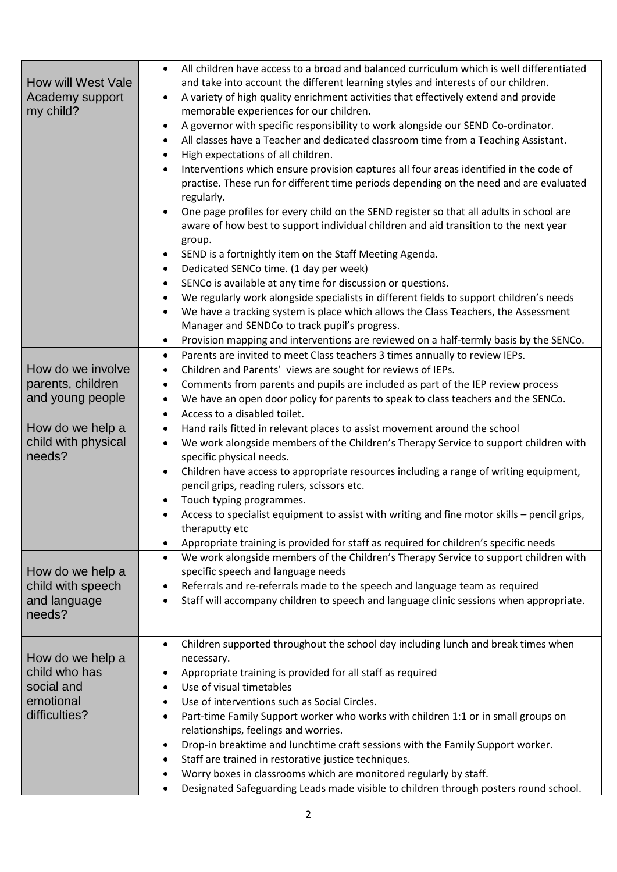| How will West Vale<br>Academy support<br>my child?<br>How do we involve<br>parents, children<br>and young people<br>How do we help a<br>child with physical<br>needs?<br>How do we help a<br>child with speech<br>and language | All children have access to a broad and balanced curriculum which is well differentiated<br>$\bullet$<br>and take into account the different learning styles and interests of our children.<br>A variety of high quality enrichment activities that effectively extend and provide<br>$\bullet$<br>memorable experiences for our children.<br>A governor with specific responsibility to work alongside our SEND Co-ordinator.<br>All classes have a Teacher and dedicated classroom time from a Teaching Assistant.<br>$\bullet$<br>High expectations of all children.<br>$\bullet$<br>Interventions which ensure provision captures all four areas identified in the code of<br>$\bullet$<br>practise. These run for different time periods depending on the need and are evaluated<br>regularly.<br>One page profiles for every child on the SEND register so that all adults in school are<br>aware of how best to support individual children and aid transition to the next year<br>group.<br>SEND is a fortnightly item on the Staff Meeting Agenda.<br>$\bullet$<br>Dedicated SENCo time. (1 day per week)<br>$\bullet$<br>SENCo is available at any time for discussion or questions.<br>٠<br>We regularly work alongside specialists in different fields to support children's needs<br>$\bullet$<br>We have a tracking system is place which allows the Class Teachers, the Assessment<br>٠<br>Manager and SENDCo to track pupil's progress.<br>Provision mapping and interventions are reviewed on a half-termly basis by the SENCo.<br>$\bullet$<br>Parents are invited to meet Class teachers 3 times annually to review IEPs.<br>$\bullet$<br>Children and Parents' views are sought for reviews of IEPs.<br>$\bullet$<br>Comments from parents and pupils are included as part of the IEP review process<br>$\bullet$<br>We have an open door policy for parents to speak to class teachers and the SENCo.<br>$\bullet$<br>Access to a disabled toilet.<br>$\bullet$<br>Hand rails fitted in relevant places to assist movement around the school<br>$\bullet$<br>We work alongside members of the Children's Therapy Service to support children with<br>$\bullet$<br>specific physical needs.<br>Children have access to appropriate resources including a range of writing equipment,<br>$\bullet$<br>pencil grips, reading rulers, scissors etc.<br>Touch typing programmes.<br>Access to specialist equipment to assist with writing and fine motor skills - pencil grips,<br>theraputty etc<br>Appropriate training is provided for staff as required for children's specific needs<br>$\bullet$<br>We work alongside members of the Children's Therapy Service to support children with<br>$\bullet$<br>specific speech and language needs<br>Referrals and re-referrals made to the speech and language team as required<br>٠<br>Staff will accompany children to speech and language clinic sessions when appropriate.<br>$\bullet$ |
|--------------------------------------------------------------------------------------------------------------------------------------------------------------------------------------------------------------------------------|--------------------------------------------------------------------------------------------------------------------------------------------------------------------------------------------------------------------------------------------------------------------------------------------------------------------------------------------------------------------------------------------------------------------------------------------------------------------------------------------------------------------------------------------------------------------------------------------------------------------------------------------------------------------------------------------------------------------------------------------------------------------------------------------------------------------------------------------------------------------------------------------------------------------------------------------------------------------------------------------------------------------------------------------------------------------------------------------------------------------------------------------------------------------------------------------------------------------------------------------------------------------------------------------------------------------------------------------------------------------------------------------------------------------------------------------------------------------------------------------------------------------------------------------------------------------------------------------------------------------------------------------------------------------------------------------------------------------------------------------------------------------------------------------------------------------------------------------------------------------------------------------------------------------------------------------------------------------------------------------------------------------------------------------------------------------------------------------------------------------------------------------------------------------------------------------------------------------------------------------------------------------------------------------------------------------------------------------------------------------------------------------------------------------------------------------------------------------------------------------------------------------------------------------------------------------------------------------------------------------------------------------------------------------------------------------------------------------------------------------------------------------------------------------------------------------------------------------------------------------------------------------------------------------------------------------------------------|
| needs?                                                                                                                                                                                                                         |                                                                                                                                                                                                                                                                                                                                                                                                                                                                                                                                                                                                                                                                                                                                                                                                                                                                                                                                                                                                                                                                                                                                                                                                                                                                                                                                                                                                                                                                                                                                                                                                                                                                                                                                                                                                                                                                                                                                                                                                                                                                                                                                                                                                                                                                                                                                                                                                                                                                                                                                                                                                                                                                                                                                                                                                                                                                                                                                                              |
| How do we help a<br>child who has<br>social and<br>emotional<br>difficulties?                                                                                                                                                  | Children supported throughout the school day including lunch and break times when<br>$\bullet$<br>necessary.<br>Appropriate training is provided for all staff as required<br>Use of visual timetables<br>$\bullet$<br>Use of interventions such as Social Circles.<br>$\bullet$<br>Part-time Family Support worker who works with children 1:1 or in small groups on<br>$\bullet$<br>relationships, feelings and worries.<br>Drop-in breaktime and lunchtime craft sessions with the Family Support worker.<br>٠<br>Staff are trained in restorative justice techniques.<br>$\bullet$<br>Worry boxes in classrooms which are monitored regularly by staff.<br>٠<br>Designated Safeguarding Leads made visible to children through posters round school.<br>$\bullet$                                                                                                                                                                                                                                                                                                                                                                                                                                                                                                                                                                                                                                                                                                                                                                                                                                                                                                                                                                                                                                                                                                                                                                                                                                                                                                                                                                                                                                                                                                                                                                                                                                                                                                                                                                                                                                                                                                                                                                                                                                                                                                                                                                                        |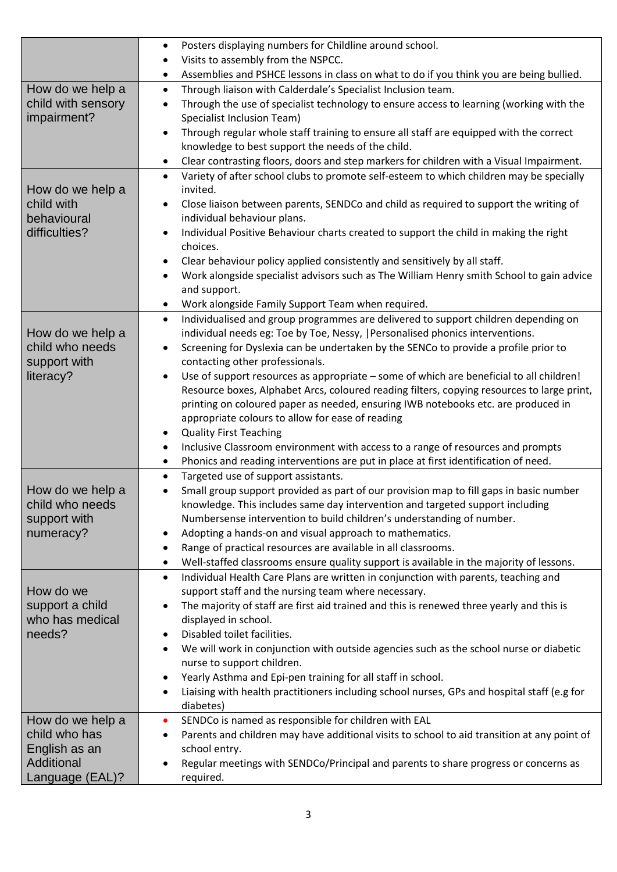|                                   | Posters displaying numbers for Childline around school.<br>$\bullet$                                                                                                                     |
|-----------------------------------|------------------------------------------------------------------------------------------------------------------------------------------------------------------------------------------|
|                                   | Visits to assembly from the NSPCC.                                                                                                                                                       |
|                                   | Assemblies and PSHCE lessons in class on what to do if you think you are being bullied.<br>٠                                                                                             |
| How do we help a                  | Through liaison with Calderdale's Specialist Inclusion team.<br>$\bullet$                                                                                                                |
| child with sensory                | Through the use of specialist technology to ensure access to learning (working with the<br>$\bullet$                                                                                     |
| impairment?                       | Specialist Inclusion Team)                                                                                                                                                               |
|                                   | Through regular whole staff training to ensure all staff are equipped with the correct<br>$\bullet$                                                                                      |
|                                   | knowledge to best support the needs of the child.                                                                                                                                        |
|                                   | Clear contrasting floors, doors and step markers for children with a Visual Impairment.<br>$\bullet$                                                                                     |
|                                   | Variety of after school clubs to promote self-esteem to which children may be specially<br>$\bullet$<br>invited.                                                                         |
| How do we help a<br>child with    | $\bullet$                                                                                                                                                                                |
| behavioural                       | Close liaison between parents, SENDCo and child as required to support the writing of<br>individual behaviour plans.                                                                     |
| difficulties?                     | Individual Positive Behaviour charts created to support the child in making the right                                                                                                    |
|                                   | choices.                                                                                                                                                                                 |
|                                   | Clear behaviour policy applied consistently and sensitively by all staff.<br>٠                                                                                                           |
|                                   | Work alongside specialist advisors such as The William Henry smith School to gain advice                                                                                                 |
|                                   | and support.                                                                                                                                                                             |
|                                   | Work alongside Family Support Team when required.<br>$\bullet$                                                                                                                           |
|                                   | Individualised and group programmes are delivered to support children depending on<br>$\bullet$                                                                                          |
| How do we help a                  | individual needs eg: Toe by Toe, Nessy,   Personalised phonics interventions.                                                                                                            |
| child who needs                   | Screening for Dyslexia can be undertaken by the SENCo to provide a profile prior to<br>$\bullet$                                                                                         |
| support with                      | contacting other professionals.                                                                                                                                                          |
| literacy?                         | Use of support resources as appropriate - some of which are beneficial to all children!<br>$\bullet$                                                                                     |
|                                   | Resource boxes, Alphabet Arcs, coloured reading filters, copying resources to large print,                                                                                               |
|                                   | printing on coloured paper as needed, ensuring IWB notebooks etc. are produced in                                                                                                        |
|                                   | appropriate colours to allow for ease of reading                                                                                                                                         |
|                                   | <b>Quality First Teaching</b><br>٠                                                                                                                                                       |
|                                   | Inclusive Classroom environment with access to a range of resources and prompts<br>٠<br>Phonics and reading interventions are put in place at first identification of need.<br>$\bullet$ |
|                                   | Targeted use of support assistants.<br>$\bullet$                                                                                                                                         |
| How do we help a                  | Small group support provided as part of our provision map to fill gaps in basic number<br>$\bullet$                                                                                      |
| child who needs                   | knowledge. This includes same day intervention and targeted support including                                                                                                            |
| support with                      | Numbersense intervention to build children's understanding of number.                                                                                                                    |
| numeracy?                         | Adopting a hands-on and visual approach to mathematics.<br>٠                                                                                                                             |
|                                   | Range of practical resources are available in all classrooms.<br>$\bullet$                                                                                                               |
|                                   | Well-staffed classrooms ensure quality support is available in the majority of lessons.<br>٠                                                                                             |
|                                   | Individual Health Care Plans are written in conjunction with parents, teaching and<br>$\bullet$                                                                                          |
| How do we                         | support staff and the nursing team where necessary.                                                                                                                                      |
| support a child                   | The majority of staff are first aid trained and this is renewed three yearly and this is<br>$\bullet$                                                                                    |
| who has medical                   | displayed in school.                                                                                                                                                                     |
| needs?                            | Disabled toilet facilities.<br>٠                                                                                                                                                         |
|                                   | We will work in conjunction with outside agencies such as the school nurse or diabetic<br>$\bullet$                                                                                      |
|                                   | nurse to support children.                                                                                                                                                               |
|                                   | Yearly Asthma and Epi-pen training for all staff in school.                                                                                                                              |
|                                   | Liaising with health practitioners including school nurses, GPs and hospital staff (e.g for<br>$\bullet$                                                                                 |
|                                   | diabetes)                                                                                                                                                                                |
| How do we help a<br>child who has | SENDCo is named as responsible for children with EAL<br>$\bullet$                                                                                                                        |
| English as an                     | Parents and children may have additional visits to school to aid transition at any point of<br>٠<br>school entry.                                                                        |
| Additional                        | Regular meetings with SENDCo/Principal and parents to share progress or concerns as<br>$\bullet$                                                                                         |
| Language (EAL)?                   | required.                                                                                                                                                                                |
|                                   |                                                                                                                                                                                          |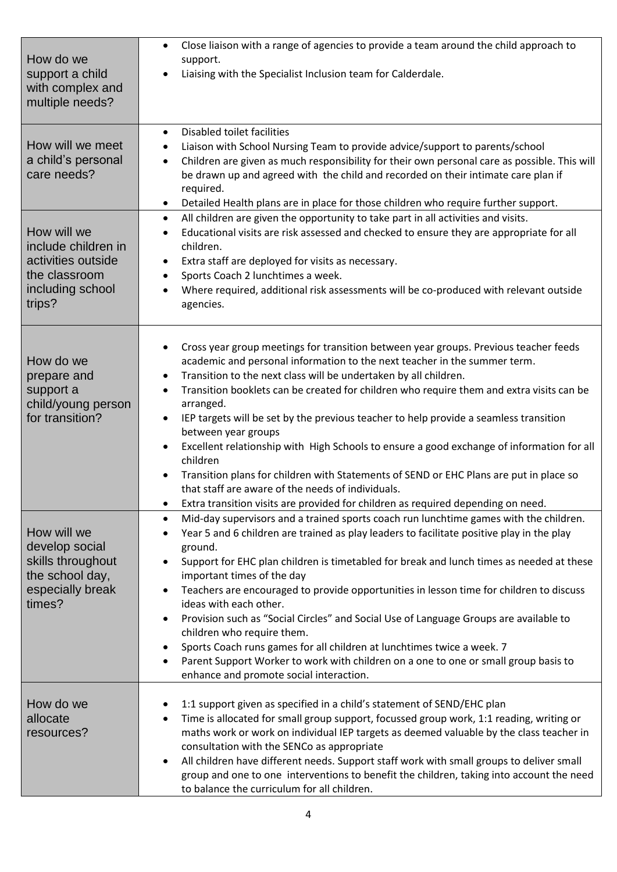| How do we<br>support a child<br>with complex and<br>multiple needs?                                     | Close liaison with a range of agencies to provide a team around the child approach to<br>$\bullet$<br>support.<br>Liaising with the Specialist Inclusion team for Calderdale.<br>$\bullet$                                                                                                                                                                                                                                                                                                                                                                                                                                                                                                                                                                                                                                                                                            |
|---------------------------------------------------------------------------------------------------------|---------------------------------------------------------------------------------------------------------------------------------------------------------------------------------------------------------------------------------------------------------------------------------------------------------------------------------------------------------------------------------------------------------------------------------------------------------------------------------------------------------------------------------------------------------------------------------------------------------------------------------------------------------------------------------------------------------------------------------------------------------------------------------------------------------------------------------------------------------------------------------------|
| How will we meet<br>a child's personal<br>care needs?                                                   | Disabled toilet facilities<br>$\bullet$<br>Liaison with School Nursing Team to provide advice/support to parents/school<br>٠<br>Children are given as much responsibility for their own personal care as possible. This will<br>$\bullet$<br>be drawn up and agreed with the child and recorded on their intimate care plan if<br>required.<br>Detailed Health plans are in place for those children who require further support.<br>$\bullet$                                                                                                                                                                                                                                                                                                                                                                                                                                        |
| How will we<br>include children in<br>activities outside<br>the classroom<br>including school<br>trips? | All children are given the opportunity to take part in all activities and visits.<br>$\bullet$<br>Educational visits are risk assessed and checked to ensure they are appropriate for all<br>$\bullet$<br>children.<br>Extra staff are deployed for visits as necessary.<br>$\bullet$<br>Sports Coach 2 lunchtimes a week.<br>$\bullet$<br>Where required, additional risk assessments will be co-produced with relevant outside<br>agencies.                                                                                                                                                                                                                                                                                                                                                                                                                                         |
| How do we<br>prepare and<br>support a<br>child/young person<br>for transition?                          | Cross year group meetings for transition between year groups. Previous teacher feeds<br>$\bullet$<br>academic and personal information to the next teacher in the summer term.<br>Transition to the next class will be undertaken by all children.<br>٠<br>Transition booklets can be created for children who require them and extra visits can be<br>$\bullet$<br>arranged.<br>IEP targets will be set by the previous teacher to help provide a seamless transition<br>$\bullet$<br>between year groups<br>Excellent relationship with High Schools to ensure a good exchange of information for all<br>$\bullet$<br>children<br>Transition plans for children with Statements of SEND or EHC Plans are put in place so<br>$\bullet$<br>that staff are aware of the needs of individuals.<br>Extra transition visits are provided for children as required depending on need.<br>٠ |
| How will we<br>develop social<br>skills throughout<br>the school day,<br>especially break<br>times?     | Mid-day supervisors and a trained sports coach run lunchtime games with the children.<br>$\bullet$<br>Year 5 and 6 children are trained as play leaders to facilitate positive play in the play<br>$\bullet$<br>ground.<br>Support for EHC plan children is timetabled for break and lunch times as needed at these<br>$\bullet$<br>important times of the day<br>Teachers are encouraged to provide opportunities in lesson time for children to discuss<br>$\bullet$<br>ideas with each other.<br>Provision such as "Social Circles" and Social Use of Language Groups are available to<br>$\bullet$<br>children who require them.<br>Sports Coach runs games for all children at lunchtimes twice a week. 7<br>$\bullet$<br>Parent Support Worker to work with children on a one to one or small group basis to<br>$\bullet$<br>enhance and promote social interaction.            |
| How do we<br>allocate<br>resources?                                                                     | 1:1 support given as specified in a child's statement of SEND/EHC plan<br>٠<br>Time is allocated for small group support, focussed group work, 1:1 reading, writing or<br>$\bullet$<br>maths work or work on individual IEP targets as deemed valuable by the class teacher in<br>consultation with the SENCo as appropriate<br>All children have different needs. Support staff work with small groups to deliver small<br>$\bullet$<br>group and one to one interventions to benefit the children, taking into account the need<br>to balance the curriculum for all children.                                                                                                                                                                                                                                                                                                      |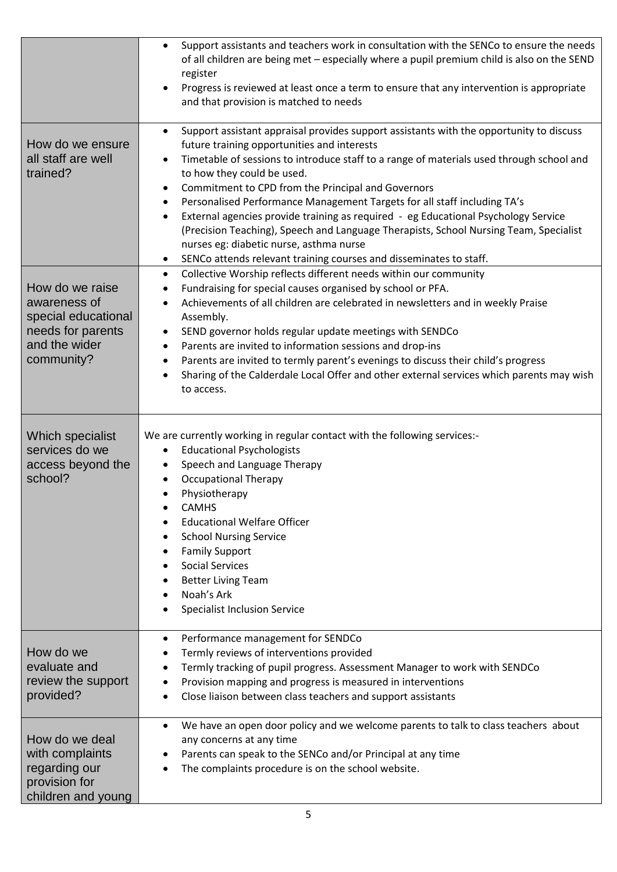|                                                                                                            | Support assistants and teachers work in consultation with the SENCo to ensure the needs<br>$\bullet$<br>of all children are being met - especially where a pupil premium child is also on the SEND<br>register<br>Progress is reviewed at least once a term to ensure that any intervention is appropriate<br>and that provision is matched to needs                                                                                                                                                                                                                                                                                                                                                                         |
|------------------------------------------------------------------------------------------------------------|------------------------------------------------------------------------------------------------------------------------------------------------------------------------------------------------------------------------------------------------------------------------------------------------------------------------------------------------------------------------------------------------------------------------------------------------------------------------------------------------------------------------------------------------------------------------------------------------------------------------------------------------------------------------------------------------------------------------------|
| How do we ensure<br>all staff are well<br>trained?                                                         | Support assistant appraisal provides support assistants with the opportunity to discuss<br>$\bullet$<br>future training opportunities and interests<br>Timetable of sessions to introduce staff to a range of materials used through school and<br>to how they could be used.<br>Commitment to CPD from the Principal and Governors<br>$\bullet$<br>Personalised Performance Management Targets for all staff including TA's<br>External agencies provide training as required - eg Educational Psychology Service<br>(Precision Teaching), Speech and Language Therapists, School Nursing Team, Specialist<br>nurses eg: diabetic nurse, asthma nurse<br>SENCo attends relevant training courses and disseminates to staff. |
| How do we raise<br>awareness of<br>special educational<br>needs for parents<br>and the wider<br>community? | Collective Worship reflects different needs within our community<br>$\bullet$<br>Fundraising for special causes organised by school or PFA.<br>$\bullet$<br>Achievements of all children are celebrated in newsletters and in weekly Praise<br>$\bullet$<br>Assembly.<br>SEND governor holds regular update meetings with SENDCo<br>$\bullet$<br>Parents are invited to information sessions and drop-ins<br>$\bullet$<br>Parents are invited to termly parent's evenings to discuss their child's progress<br>Sharing of the Calderdale Local Offer and other external services which parents may wish<br>$\bullet$<br>to access.                                                                                           |
| Which specialist<br>services do we<br>access beyond the<br>school?                                         | We are currently working in regular contact with the following services:-<br><b>Educational Psychologists</b><br>$\bullet$<br>Speech and Language Therapy<br><b>Occupational Therapy</b><br>Physiotherapy<br><b>CAMHS</b><br><b>Educational Welfare Officer</b><br><b>School Nursing Service</b><br><b>Family Support</b><br><b>Social Services</b><br><b>Better Living Team</b><br>Noah's Ark<br><b>Specialist Inclusion Service</b>                                                                                                                                                                                                                                                                                        |
| How do we<br>evaluate and<br>review the support<br>provided?                                               | Performance management for SENDCo<br>٠<br>Termly reviews of interventions provided<br>Termly tracking of pupil progress. Assessment Manager to work with SENDCo<br>Provision mapping and progress is measured in interventions<br>Close liaison between class teachers and support assistants                                                                                                                                                                                                                                                                                                                                                                                                                                |
| How do we deal<br>with complaints<br>regarding our<br>provision for<br>children and young                  | We have an open door policy and we welcome parents to talk to class teachers about<br>$\bullet$<br>any concerns at any time<br>Parents can speak to the SENCo and/or Principal at any time<br>The complaints procedure is on the school website.                                                                                                                                                                                                                                                                                                                                                                                                                                                                             |